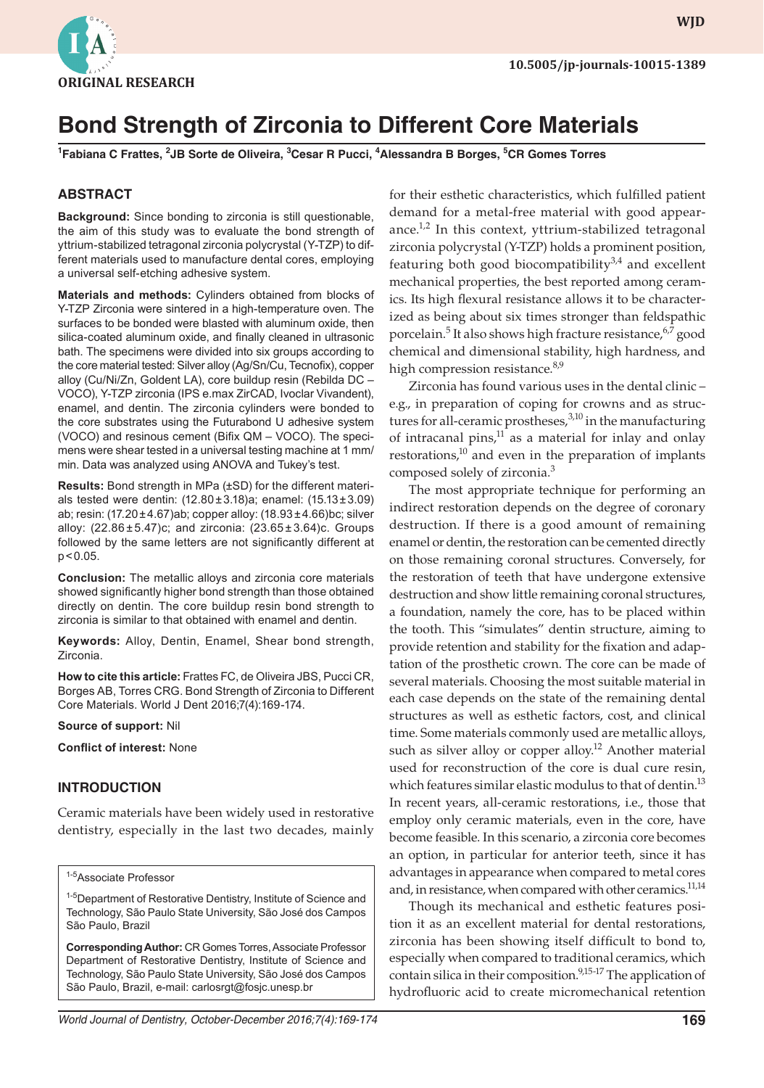

**wjd WJD**

# **Bond Strength of Zirconia to Different Core Materials**

**1 Fabiana C Frattes, 2 JB Sorte de Oliveira, 3 Cesar R Pucci, <sup>4</sup> Alessandra B Borges, <sup>5</sup> CR Gomes Torres**

#### **ABSTRACT**

**Background:** Since bonding to zirconia is still questionable, the aim of this study was to evaluate the bond strength of yttrium-stabilized tetragonal zirconia polycrystal (Y-TZP) to different materials used to manufacture dental cores, employing a universal self-etching adhesive system.

**Materials and methods:** Cylinders obtained from blocks of Y-TZP Zirconia were sintered in a high-temperature oven. The surfaces to be bonded were blasted with aluminum oxide, then silica-coated aluminum oxide, and finally cleaned in ultrasonic bath. The specimens were divided into six groups according to the core material tested: Silver alloy (Ag/Sn/Cu, Tecnofix), copper alloy (Cu/Ni/Zn, Goldent LA), core buildup resin (Rebilda DC – VOCO), Y-TZP zirconia (IPS e.max ZirCAD, Ivoclar Vivandent), enamel, and dentin. The zirconia cylinders were bonded to the core substrates using the Futurabond U adhesive system (VOCO) and resinous cement (Bifix QM – VOCO). The specimens were shear tested in a universal testing machine at 1 mm/ min. Data was analyzed using ANOVA and Tukey's test.

**Results:** Bond strength in MPa (±SD) for the different materials tested were dentin: (12.80±3.18)a; enamel: (15.13±3.09) ab; resin: (17.20±4.67)ab; copper alloy: (18.93±4.66)bc; silver alloy:  $(22.86 \pm 5.47)$ c; and zirconia:  $(23.65 \pm 3.64)$ c. Groups followed by the same letters are not significantly different at p<0.05.

**Conclusion:** The metallic alloys and zirconia core materials showed significantly higher bond strength than those obtained directly on dentin. The core buildup resin bond strength to zirconia is similar to that obtained with enamel and dentin.

**Keywords:** Alloy, Dentin, Enamel, Shear bond strength, Zirconia.

**How to cite this article:** Frattes FC, de Oliveira JBS, Pucci CR, Borges AB, Torres CRG. Bond Strength of Zirconia to Different Core Materials. World J Dent 2016;7(4):169-174.

**Source of support:** Nil

**Conflict of interest:** None

#### **INTRODUCTION**

Ceramic materials have been widely used in restorative dentistry, especially in the last two decades, mainly

1-5Associate Professor

<sup>1-5</sup>Department of Restorative Dentistry, Institute of Science and Technology, São Paulo State University, São José dos Campos São Paulo, Brazil

**Corresponding Author:** CR Gomes Torres, Associate Professor Department of Restorative Dentistry, Institute of Science and Technology, São Paulo State University, São José dos Campos São Paulo, Brazil, e-mail: carlosrgt@fosjc.unesp.br

for their esthetic characteristics, which fulfilled patient demand for a metal-free material with good appearance. $1,2$  In this context, yttrium-stabilized tetragonal zirconia polycrystal (Y-TZP) holds a prominent position, featuring both good biocompatibility $3,4$  and excellent mechanical properties, the best reported among ceramics. Its high flexural resistance allows it to be characterized as being about six times stronger than feldspathic porcelain.<sup>5</sup> It also shows high fracture resistance,<sup>6,7</sup> good chemical and dimensional stability, high hardness, and high compression resistance.<sup>8,9</sup>

Zirconia has found various uses in the dental clinic – e.g., in preparation of coping for crowns and as structures for all-ceramic prostheses,<sup>3,10</sup> in the manufacturing of intracanal pins, $11$  as a material for inlay and onlay restorations, $10$  and even in the preparation of implants composed solely of zirconia.<sup>3</sup>

The most appropriate technique for performing an indirect restoration depends on the degree of coronary destruction. If there is a good amount of remaining enamel or dentin, the restoration can be cemented directly on those remaining coronal structures. Conversely, for the restoration of teeth that have undergone extensive destruction and show little remaining coronal structures, a foundation, namely the core, has to be placed within the tooth. This "simulates" dentin structure, aiming to provide retention and stability for the fixation and adaptation of the prosthetic crown. The core can be made of several materials. Choosing the most suitable material in each case depends on the state of the remaining dental structures as well as esthetic factors, cost, and clinical time. Some materials commonly used are metallic alloys, such as silver alloy or copper alloy.<sup>12</sup> Another material used for reconstruction of the core is dual cure resin, which features similar elastic modulus to that of dentin.<sup>13</sup> In recent years, all-ceramic restorations, i.e., those that employ only ceramic materials, even in the core, have become feasible. In this scenario, a zirconia core becomes an option, in particular for anterior teeth, since it has advantages in appearance when compared to metal cores and, in resistance, when compared with other ceramics.<sup>11,14</sup>

Though its mechanical and esthetic features position it as an excellent material for dental restorations, zirconia has been showing itself difficult to bond to, especially when compared to traditional ceramics, which contain silica in their composition.<sup>9,15-17</sup> The application of hydrofluoric acid to create micromechanical retention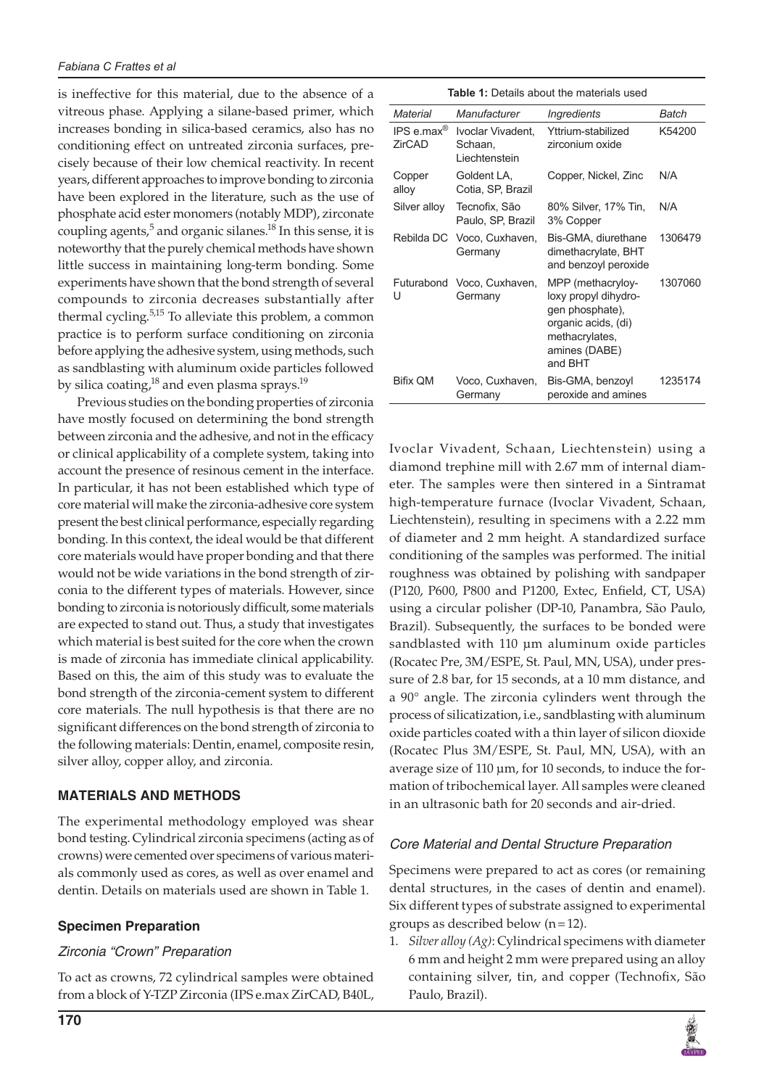is ineffective for this material, due to the absence of a vitreous phase. Applying a silane-based primer, which increases bonding in silica-based ceramics, also has no conditioning effect on untreated zirconia surfaces, precisely because of their low chemical reactivity. In recent years, different approaches to improve bonding to zirconia have been explored in the literature, such as the use of phosphate acid ester monomers (notably MDP), zirconate coupling agents, $^5$  and organic silanes. $^{18}$  In this sense, it is noteworthy that the purely chemical methods have shown little success in maintaining long-term bonding. Some experiments have shown that the bond strength of several compounds to zirconia decreases substantially after thermal cycling.<sup>5,15</sup> To alleviate this problem, a common practice is to perform surface conditioning on zirconia before applying the adhesive system, using methods, such as sandblasting with aluminum oxide particles followed by silica coating,<sup>18</sup> and even plasma sprays.<sup>19</sup>

Previous studies on the bonding properties of zirconia have mostly focused on determining the bond strength between zirconia and the adhesive, and not in the efficacy or clinical applicability of a complete system, taking into account the presence of resinous cement in the interface. In particular, it has not been established which type of core material will make the zirconia-adhesive core system present the best clinical performance, especially regarding bonding. In this context, the ideal would be that different core materials would have proper bonding and that there would not be wide variations in the bond strength of zirconia to the different types of materials. However, since bonding to zirconia is notoriously difficult, some materials are expected to stand out. Thus, a study that investigates which material is best suited for the core when the crown is made of zirconia has immediate clinical applicability. Based on this, the aim of this study was to evaluate the bond strength of the zirconia-cement system to different core materials. The null hypothesis is that there are no significant differences on the bond strength of zirconia to the following materials: Dentin, enamel, composite resin, silver alloy, copper alloy, and zirconia.

# **MATERIALS AND METHODS**

The experimental methodology employed was shear bond testing. Cylindrical zirconia specimens (acting as of crowns) were cemented over specimens of various materials commonly used as cores, as well as over enamel and dentin. Details on materials used are shown in Table 1.

# **Specimen Preparation**

# *Zirconia "Crown" Preparation*

To act as crowns, 72 cylindrical samples were obtained from a block of Y-TZP Zirconia (IPS e.max ZirCAD, B40L,

|  | <b>Table 1:</b> Details about the materials used |
|--|--------------------------------------------------|
|--|--------------------------------------------------|

| Material             | Manufacturer                                  | <i><b>Ingredients</b></i>                                                                                                         | Batch   |  |
|----------------------|-----------------------------------------------|-----------------------------------------------------------------------------------------------------------------------------------|---------|--|
| IPS e.max®<br>ZirCAD | Ivoclar Vivadent.<br>Schaan.<br>Liechtenstein | Yttrium-stabilized<br>zirconium oxide                                                                                             | K54200  |  |
| Copper<br>alloy      | Goldent LA,<br>Cotia, SP, Brazil              | Copper, Nickel, Zinc                                                                                                              | N/A     |  |
| Silver alloy         | Tecnofix, São<br>Paulo, SP, Brazil            | 80% Silver, 17% Tin,<br>3% Copper                                                                                                 | N/A     |  |
|                      | Rebilda DC Voco, Cuxhaven,<br>Germany         | Bis-GMA, diurethane<br>dimethacrylate, BHT<br>and benzoyl peroxide                                                                | 1306479 |  |
| Futurabond<br>U      | Voco, Cuxhaven,<br>Germany                    | MPP (methacryloy-<br>loxy propyl dihydro-<br>gen phosphate),<br>organic acids, (di)<br>methacrylates,<br>amines (DABE)<br>and BHT | 1307060 |  |
| Bifix QM             | Voco, Cuxhaven,<br>Germany                    | Bis-GMA, benzoyl<br>peroxide and amines                                                                                           | 1235174 |  |

Ivoclar Vivadent, Schaan, Liechtenstein) using a diamond trephine mill with 2.67 mm of internal diameter. The samples were then sintered in a Sintramat high-temperature furnace (Ivoclar Vivadent, Schaan, Liechtenstein), resulting in specimens with a 2.22 mm of diameter and 2 mm height. A standardized surface conditioning of the samples was performed. The initial roughness was obtained by polishing with sandpaper (P120, P600, P800 and P1200, Extec, Enfield, CT, USA) using a circular polisher (DP-10, Panambra, São Paulo, Brazil). Subsequently, the surfaces to be bonded were sandblasted with 110 μm aluminum oxide particles (Rocatec Pre, 3M/ESPE, St. Paul, MN, USA), under pressure of 2.8 bar, for 15 seconds, at a 10 mm distance, and a 90° angle. The zirconia cylinders went through the process of silicatization, i.e., sandblasting with aluminum oxide particles coated with a thin layer of silicon dioxide (Rocatec Plus 3M/ESPE, St. Paul, MN, USA), with an average size of 110 μm, for 10 seconds, to induce the formation of tribochemical layer. All samples were cleaned in an ultrasonic bath for 20 seconds and air-dried.

# *Core Material and Dental Structure Preparation*

Specimens were prepared to act as cores (or remaining dental structures, in the cases of dentin and enamel). Six different types of substrate assigned to experimental groups as described below  $(n=12)$ .

1. *Silver alloy (Ag)*: Cylindrical specimens with diameter 6 mm and height 2 mm were prepared using an alloy containing silver, tin, and copper (Technofix, São Paulo, Brazil).

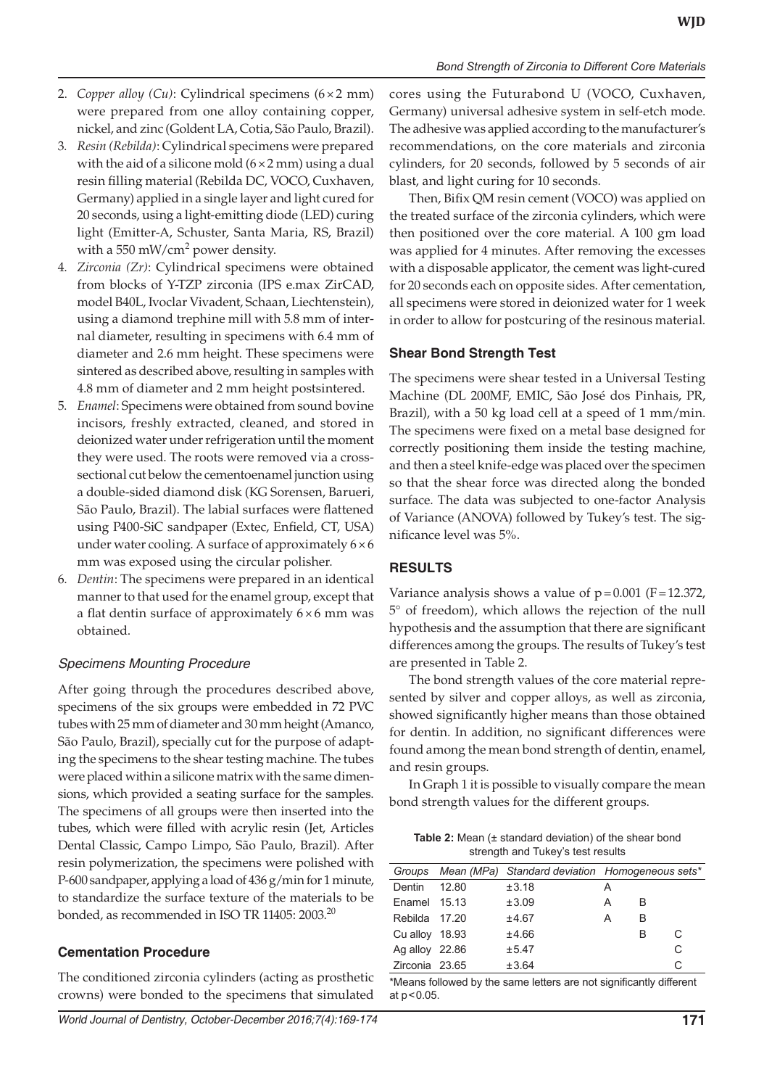- 2. *Copper alloy (Cu)*: Cylindrical specimens (6×2 mm) were prepared from one alloy containing copper, nickel, and zinc (Goldent LA, Cotia, São Paulo, Brazil).
- 3. *Resin (Rebilda)*: Cylindrical specimens were prepared with the aid of a silicone mold  $(6 \times 2 \text{ mm})$  using a dual resin filling material (Rebilda DC, VOCO, Cuxhaven, Germany) applied in a single layer and light cured for 20 seconds, using a light-emitting diode (LED) curing light (Emitter-A, Schuster, Santa Maria, RS, Brazil) with a 550 mW/cm<sup>2</sup> power density.
- 4. *Zirconia (Zr)*: Cylindrical specimens were obtained from blocks of Y-TZP zirconia (IPS e.max ZirCAD, model B40L, Ivoclar Vivadent, Schaan, Liechtenstein), using a diamond trephine mill with 5.8 mm of internal diameter, resulting in specimens with 6.4 mm of diameter and 2.6 mm height. These specimens were sintered as described above, resulting in samples with 4.8 mm of diameter and 2 mm height postsintered.
- 5. *Enamel*: Specimens were obtained from sound bovine incisors, freshly extracted, cleaned, and stored in deionized water under refrigeration until the moment they were used. The roots were removed via a crosssectional cut below the cementoenamel junction using a double-sided diamond disk (KG Sorensen, Barueri, São Paulo, Brazil). The labial surfaces were flattened using P400-SiC sandpaper (Extec, Enfield, CT, USA) under water cooling. A surface of approximately  $6 \times 6$ mm was exposed using the circular polisher.
- 6. *Dentin*: The specimens were prepared in an identical manner to that used for the enamel group, except that a flat dentin surface of approximately  $6 \times 6$  mm was obtained.

# *Specimens Mounting Procedure*

After going through the procedures described above, specimens of the six groups were embedded in 72 PVC tubes with 25 mm of diameter and 30 mm height (Amanco, São Paulo, Brazil), specially cut for the purpose of adapting the specimens to the shear testing machine. The tubes were placed within a silicone matrix with the same dimensions, which provided a seating surface for the samples. The specimens of all groups were then inserted into the tubes, which were filled with acrylic resin (Jet, Articles Dental Classic, Campo Limpo, São Paulo, Brazil). After resin polymerization, the specimens were polished with P-600 sandpaper, applying a load of 436 g/min for 1 minute, to standardize the surface texture of the materials to be bonded, as recommended in ISO TR 11405: 2003.<sup>20</sup>

# **Cementation Procedure**

The conditioned zirconia cylinders (acting as prosthetic crowns) were bonded to the specimens that simulated

cores using the Futurabond U (VOCO, Cuxhaven, Germany) universal adhesive system in self-etch mode. The adhesive was applied according to the manufacturer's recommendations, on the core materials and zirconia cylinders, for 20 seconds, followed by 5 seconds of air blast, and light curing for 10 seconds.

Then, Bifix QM resin cement (VOCO) was applied on the treated surface of the zirconia cylinders, which were then positioned over the core material. A 100 gm load was applied for 4 minutes. After removing the excesses with a disposable applicator, the cement was light-cured for 20 seconds each on opposite sides. After cementation, all specimens were stored in deionized water for 1 week in order to allow for postcuring of the resinous material.

#### **Shear Bond Strength Test**

The specimens were shear tested in a Universal Testing Machine (DL 200MF, EMIC, São José dos Pinhais, PR, Brazil), with a 50 kg load cell at a speed of 1 mm/min. The specimens were fixed on a metal base designed for correctly positioning them inside the testing machine, and then a steel knife-edge was placed over the specimen so that the shear force was directed along the bonded surface. The data was subjected to one-factor Analysis of Variance (ANOVA) followed by Tukey's test. The significance level was 5%.

# **RESULTS**

Variance analysis shows a value of  $p = 0.001$  (F=12.372, 5° of freedom), which allows the rejection of the null hypothesis and the assumption that there are significant differences among the groups. The results of Tukey's test are presented in Table 2.

The bond strength values of the core material represented by silver and copper alloys, as well as zirconia, showed significantly higher means than those obtained for dentin. In addition, no significant differences were found among the mean bond strength of dentin, enamel, and resin groups.

In Graph 1 it is possible to visually compare the mean bond strength values for the different groups.

**Table 2:** Mean (± standard deviation) of the shear bond strength and Tukey's test results

|                |       |       | Groups Mean (MPa) Standard deviation Homogeneous sets* |   |   |
|----------------|-------|-------|--------------------------------------------------------|---|---|
| Dentin         | 12.80 | ±3.18 | A                                                      |   |   |
| Enamel 15.13   |       | ±3.09 | A                                                      | в |   |
| Rebilda 17.20  |       | ±4.67 | A                                                      | B |   |
| Cu alloy 18.93 |       | ±4.66 |                                                        | B | C |
| Ag alloy 22.86 |       | ±5.47 |                                                        |   | C |
| Zirconia 23.65 |       | ±3.64 |                                                        |   | C |

\*Means followed by the same letters are not significantly different at p<0.05.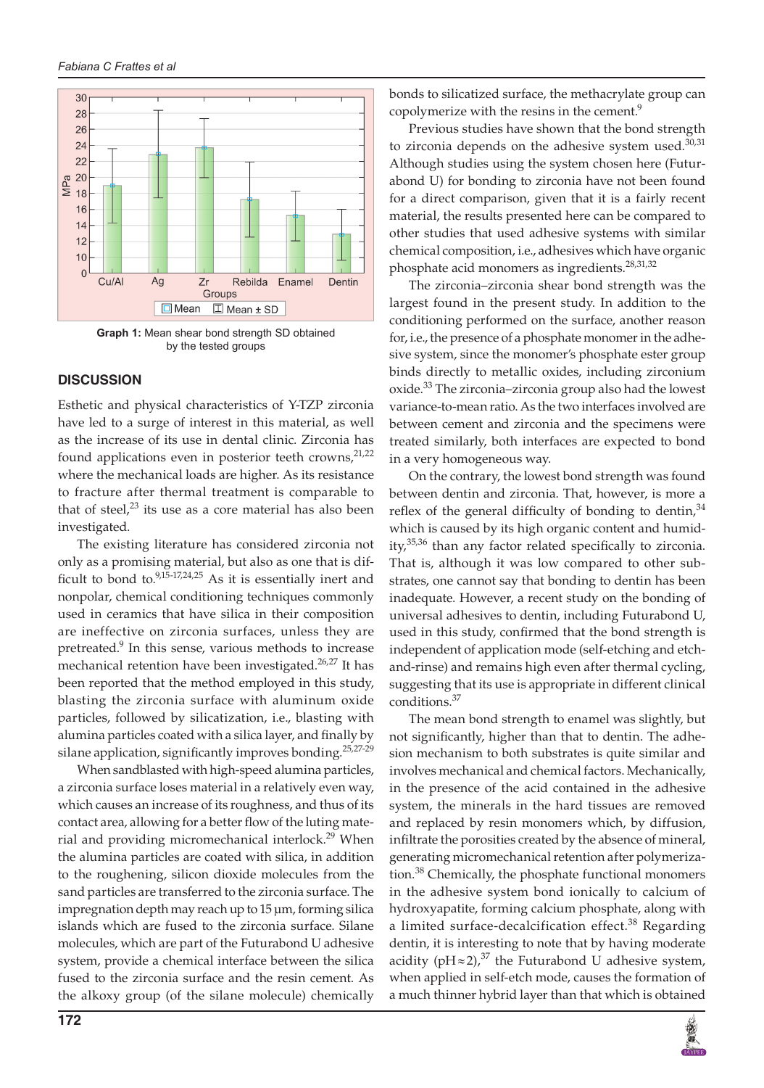

**Graph 1:** Mean shear bond strength SD obtained by the tested groups

#### **DISCUSSION**

Esthetic and physical characteristics of Y-TZP zirconia have led to a surge of interest in this material, as well as the increase of its use in dental clinic. Zirconia has found applications even in posterior teeth crowns,<sup>21,22</sup> where the mechanical loads are higher. As its resistance to fracture after thermal treatment is comparable to that of steel, $23$  its use as a core material has also been investigated.

The existing literature has considered zirconia not only as a promising material, but also as one that is difficult to bond to. $9,15-17,24,25$  As it is essentially inert and nonpolar, chemical conditioning techniques commonly used in ceramics that have silica in their composition are ineffective on zirconia surfaces, unless they are pretreated.<sup>9</sup> In this sense, various methods to increase mechanical retention have been investigated.<sup>26,27</sup> It has been reported that the method employed in this study, blasting the zirconia surface with aluminum oxide particles, followed by silicatization, i.e., blasting with alumina particles coated with a silica layer, and finally by silane application, significantly improves bonding.<sup>25,27-29</sup>

When sandblasted with high-speed alumina particles, a zirconia surface loses material in a relatively even way, which causes an increase of its roughness, and thus of its contact area, allowing for a better flow of the luting material and providing micromechanical interlock.<sup>29</sup> When the alumina particles are coated with silica, in addition to the roughening, silicon dioxide molecules from the sand particles are transferred to the zirconia surface. The impregnation depth may reach up to 15 μm, forming silica islands which are fused to the zirconia surface. Silane molecules, which are part of the Futurabond U adhesive system, provide a chemical interface between the silica fused to the zirconia surface and the resin cement. As the alkoxy group (of the silane molecule) chemically

bonds to silicatized surface, the methacrylate group can copolymerize with the resins in the cement.<sup>9</sup>

Previous studies have shown that the bond strength to zirconia depends on the adhesive system used. $30,31$ Although studies using the system chosen here (Futurabond U) for bonding to zirconia have not been found for a direct comparison, given that it is a fairly recent material, the results presented here can be compared to other studies that used adhesive systems with similar chemical composition, i.e., adhesives which have organic phosphate acid monomers as ingredients.<sup>28,31,32</sup>

The zirconia–zirconia shear bond strength was the largest found in the present study. In addition to the conditioning performed on the surface, another reason for, i.e., the presence of a phosphate monomer in the adhesive system, since the monomer's phosphate ester group binds directly to metallic oxides, including zirconium oxide.<sup>33</sup> The zirconia–zirconia group also had the lowest variance-to-mean ratio. As the two interfaces involved are between cement and zirconia and the specimens were treated similarly, both interfaces are expected to bond in a very homogeneous way.

On the contrary, the lowest bond strength was found between dentin and zirconia. That, however, is more a reflex of the general difficulty of bonding to dentin,  $34$ which is caused by its high organic content and humidity,<sup>35,36</sup> than any factor related specifically to zirconia. That is, although it was low compared to other substrates, one cannot say that bonding to dentin has been inadequate. However, a recent study on the bonding of universal adhesives to dentin, including Futurabond U, used in this study, confirmed that the bond strength is independent of application mode (self-etching and etchand-rinse) and remains high even after thermal cycling, suggesting that its use is appropriate in different clinical conditions.<sup>37</sup>

The mean bond strength to enamel was slightly, but not significantly, higher than that to dentin. The adhesion mechanism to both substrates is quite similar and involves mechanical and chemical factors. Mechanically, in the presence of the acid contained in the adhesive system, the minerals in the hard tissues are removed and replaced by resin monomers which, by diffusion, infiltrate the porosities created by the absence of mineral, generating micromechanical retention after polymerization.<sup>38</sup> Chemically, the phosphate functional monomers in the adhesive system bond ionically to calcium of hydroxyapatite, forming calcium phosphate, along with a limited surface-decalcification effect.<sup>38</sup> Regarding dentin, it is interesting to note that by having moderate acidity (pH  $\approx$  2),<sup>37</sup> the Futurabond U adhesive system, when applied in self-etch mode, causes the formation of a much thinner hybrid layer than that which is obtained

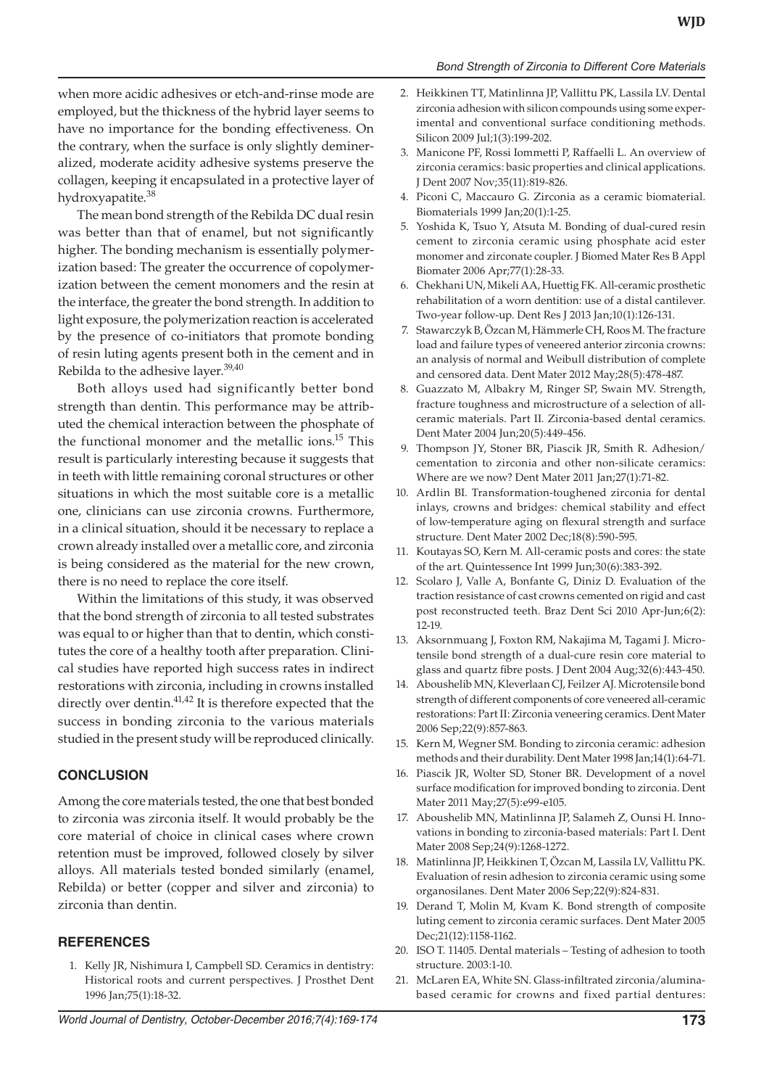#### *Bond Strength of Zirconia to Different Core Materials*

when more acidic adhesives or etch-and-rinse mode are employed, but the thickness of the hybrid layer seems to have no importance for the bonding effectiveness. On the contrary, when the surface is only slightly demineralized, moderate acidity adhesive systems preserve the collagen, keeping it encapsulated in a protective layer of hydroxyapatite.<sup>38</sup>

The mean bond strength of the Rebilda DC dual resin was better than that of enamel, but not significantly higher. The bonding mechanism is essentially polymerization based: The greater the occurrence of copolymerization between the cement monomers and the resin at the interface, the greater the bond strength. In addition to light exposure, the polymerization reaction is accelerated by the presence of co-initiators that promote bonding of resin luting agents present both in the cement and in Rebilda to the adhesive layer.<sup>39,40</sup>

Both alloys used had significantly better bond strength than dentin. This performance may be attributed the chemical interaction between the phosphate of the functional monomer and the metallic ions.<sup>15</sup> This result is particularly interesting because it suggests that in teeth with little remaining coronal structures or other situations in which the most suitable core is a metallic one, clinicians can use zirconia crowns. Furthermore, in a clinical situation, should it be necessary to replace a crown already installed over a metallic core, and zirconia is being considered as the material for the new crown, there is no need to replace the core itself.

Within the limitations of this study, it was observed that the bond strength of zirconia to all tested substrates was equal to or higher than that to dentin, which constitutes the core of a healthy tooth after preparation. Clinical studies have reported high success rates in indirect restorations with zirconia, including in crowns installed directly over dentin.<sup>41,42</sup> It is therefore expected that the success in bonding zirconia to the various materials studied in the present study will be reproduced clinically.

#### **CONCLUSION**

Among the core materials tested, the one that best bonded to zirconia was zirconia itself. It would probably be the core material of choice in clinical cases where crown retention must be improved, followed closely by silver alloys. All materials tested bonded similarly (enamel, Rebilda) or better (copper and silver and zirconia) to zirconia than dentin.

#### **REFERENCES**

1. Kelly JR, Nishimura I, Campbell SD. Ceramics in dentistry: Historical roots and current perspectives. J Prosthet Dent 1996 Jan;75(1):18-32.

- 2. Heikkinen TT, Matinlinna JP, Vallittu PK, Lassila LV. Dental zirconia adhesion with silicon compounds using some experimental and conventional surface conditioning methods. Silicon 2009 Jul;1(3):199-202.
- 3. Manicone PF, Rossi Iommetti P, Raffaelli L. An overview of zirconia ceramics: basic properties and clinical applications. J Dent 2007 Nov;35(11):819-826.
- 4. Piconi C, Maccauro G. Zirconia as a ceramic biomaterial. Biomaterials 1999 Jan;20(1):1-25.
- 5. Yoshida K, Tsuo Y, Atsuta M. Bonding of dual‐cured resin cement to zirconia ceramic using phosphate acid ester monomer and zirconate coupler. J Biomed Mater Res B Appl Biomater 2006 Apr;77(1):28-33.
- 6. Chekhani UN, Mikeli AA, Huettig FK. All-ceramic prosthetic rehabilitation of a worn dentition: use of a distal cantilever. Two-year follow-up. Dent Res J 2013 Jan;10(1):126-131.
- 7. Stawarczyk B, Özcan M, Hämmerle CH, Roos M. The fracture load and failure types of veneered anterior zirconia crowns: an analysis of normal and Weibull distribution of complete and censored data. Dent Mater 2012 May;28(5):478-487.
- 8. Guazzato M, Albakry M, Ringer SP, Swain MV. Strength, fracture toughness and microstructure of a selection of allceramic materials. Part II. Zirconia-based dental ceramics. Dent Mater 2004 Jun;20(5):449-456.
- 9. Thompson JY, Stoner BR, Piascik JR, Smith R. Adhesion/ cementation to zirconia and other non-silicate ceramics: Where are we now? Dent Mater 2011 Jan;27(1):71-82.
- 10. Ardlin BI. Transformation-toughened zirconia for dental inlays, crowns and bridges: chemical stability and effect of low-temperature aging on flexural strength and surface structure. Dent Mater 2002 Dec;18(8):590-595.
- 11. Koutayas SO, Kern M. All-ceramic posts and cores: the state of the art. Quintessence Int 1999 Jun;30(6):383-392.
- 12. Scolaro J, Valle A, Bonfante G, Diniz D. Evaluation of the traction resistance of cast crowns cemented on rigid and cast post reconstructed teeth. Braz Dent Sci 2010 Apr-Jun;6(2): 12-19.
- 13. Aksornmuang J, Foxton RM, Nakajima M, Tagami J. Microtensile bond strength of a dual-cure resin core material to glass and quartz fibre posts. J Dent 2004 Aug;32(6):443-450.
- 14. Aboushelib MN, Kleverlaan CJ, Feilzer AJ. Microtensile bond strength of different components of core veneered all-ceramic restorations: Part II: Zirconia veneering ceramics. Dent Mater 2006 Sep;22(9):857-863.
- 15. Kern M, Wegner SM. Bonding to zirconia ceramic: adhesion methods and their durability. Dent Mater 1998 Jan;14(1):64-71.
- 16. Piascik JR, Wolter SD, Stoner BR. Development of a novel surface modification for improved bonding to zirconia. Dent Mater 2011 May;27(5):e99-e105.
- 17. Aboushelib MN, Matinlinna JP, Salameh Z, Ounsi H. Innovations in bonding to zirconia-based materials: Part I. Dent Mater 2008 Sep;24(9):1268-1272.
- 18. Matinlinna JP, Heikkinen T, Özcan M, Lassila LV, Vallittu PK. Evaluation of resin adhesion to zirconia ceramic using some organosilanes. Dent Mater 2006 Sep;22(9):824-831.
- Derand T, Molin M, Kvam K. Bond strength of composite luting cement to zirconia ceramic surfaces. Dent Mater 2005 Dec;21(12):1158-1162.
- 20. ISO T. 11405. Dental materials Testing of adhesion to tooth structure. 2003:1-10.
- 21. McLaren EA, White SN. Glass-infiltrated zirconia/aluminabased ceramic for crowns and fixed partial dentures: